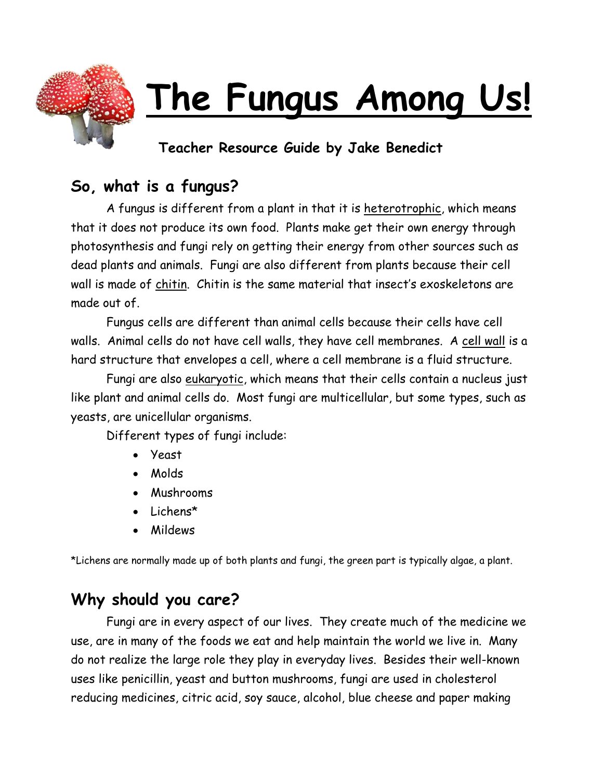

# **The Fungus Among Us!**

## **Teacher Resource Guide by Jake Benedict**

# **So, what is a fungus?**

A fungus is different from a plant in that it is heterotrophic, which means that it does not produce its own food. Plants make get their own energy through photosynthesis and fungi rely on getting their energy from other sources such as dead plants and animals. Fungi are also different from plants because their cell wall is made of chitin. Chitin is the same material that insect's exoskeletons are made out of.

Fungus cells are different than animal cells because their cells have cell walls. Animal cells do not have cell walls, they have cell membranes. A cell wall is a hard structure that envelopes a cell, where a cell membrane is a fluid structure.

Fungi are also eukaryotic, which means that their cells contain a nucleus just like plant and animal cells do. Most fungi are multicellular, but some types, such as yeasts, are unicellular organisms.

Different types of fungi include:

- Yeast
- Molds
- Mushrooms
- Lichens\*
- Mildews

\*Lichens are normally made up of both plants and fungi, the green part is typically algae, a plant.

# **Why should you care?**

Fungi are in every aspect of our lives. They create much of the medicine we use, are in many of the foods we eat and help maintain the world we live in. Many do not realize the large role they play in everyday lives. Besides their well-known uses like penicillin, yeast and button mushrooms, fungi are used in cholesterol reducing medicines, citric acid, soy sauce, alcohol, blue cheese and paper making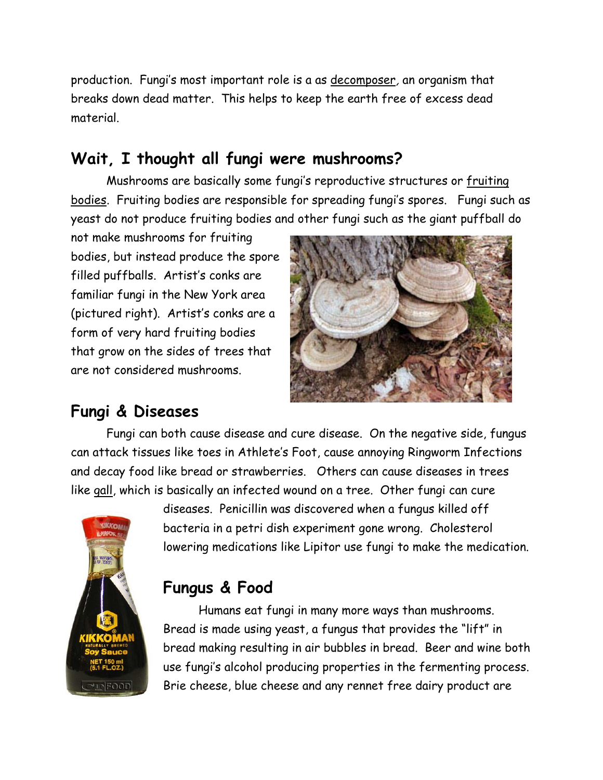production. Fungi's most important role is a as decomposer, an organism that breaks down dead matter. This helps to keep the earth free of excess dead material.

## **Wait, I thought all fungi were mushrooms?**

Mushrooms are basically some fungi's reproductive structures or fruiting bodies. Fruiting bodies are responsible for spreading fungi's spores. Fungi such as yeast do not produce fruiting bodies and other fungi such as the giant puffball do

not make mushrooms for fruiting bodies, but instead produce the spore filled puffballs. Artist's conks are familiar fungi in the New York area (pictured right). Artist's conks are a form of very hard fruiting bodies that grow on the sides of trees that are not considered mushrooms.



## **Fungi & Diseases**

Fungi can both cause disease and cure disease. On the negative side, fungus can attack tissues like toes in Athlete's Foot, cause annoying Ringworm Infections and decay food like bread or strawberries. Others can cause diseases in trees like gall, which is basically an infected wound on a tree. Other fungi can cure



diseases. Penicillin was discovered when a fungus killed off bacteria in a petri dish experiment gone wrong. Cholesterol lowering medications like Lipitor use fungi to make the medication.

## **Fungus & Food**

Humans eat fungi in many more ways than mushrooms. Bread is made using yeast, a fungus that provides the "lift" in bread making resulting in air bubbles in bread. Beer and wine both use fungi's alcohol producing properties in the fermenting process. Brie cheese, blue cheese and any rennet free dairy product are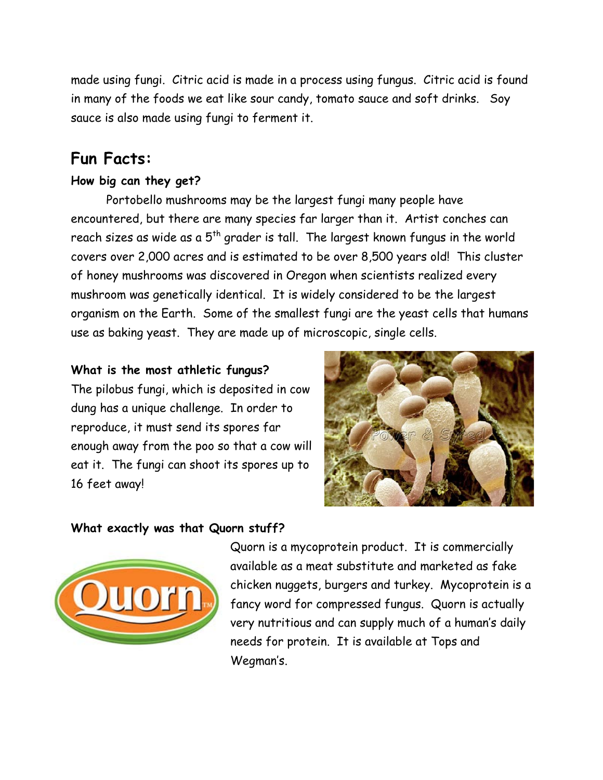made using fungi. Citric acid is made in a process using fungus. Citric acid is found in many of the foods we eat like sour candy, tomato sauce and soft drinks. Soy sauce is also made using fungi to ferment it.

## **Fun Facts:**

#### **How big can they get?**

Portobello mushrooms may be the largest fungi many people have encountered, but there are many species far larger than it. Artist conches can reach sizes as wide as a  $5<sup>th</sup>$  grader is tall. The largest known fungus in the world covers over 2,000 acres and is estimated to be over 8,500 years old! This cluster of honey mushrooms was discovered in Oregon when scientists realized every mushroom was genetically identical. It is widely considered to be the largest organism on the Earth. Some of the smallest fungi are the yeast cells that humans use as baking yeast. They are made up of microscopic, single cells.

#### **What is the most athletic fungus?**

The pilobus fungi, which is deposited in cow dung has a unique challenge. In order to reproduce, it must send its spores far enough away from the poo so that a cow will eat it. The fungi can shoot its spores up to 16 feet away!



#### **What exactly was that Quorn stuff?**



Quorn is a mycoprotein product. It is commercially available as a meat substitute and marketed as fake chicken nuggets, burgers and turkey. Mycoprotein is a fancy word for compressed fungus. Quorn is actually very nutritious and can supply much of a human's daily needs for protein. It is available at Tops and Wegman's.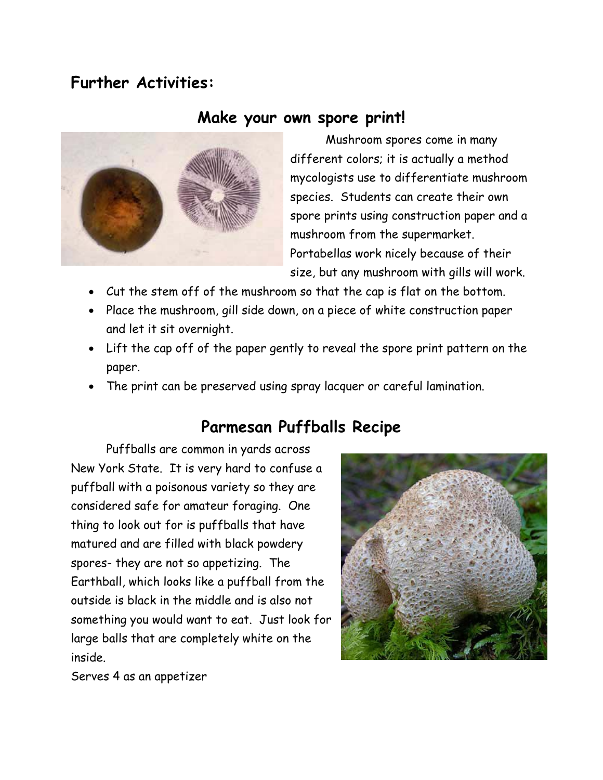## **Further Activities:**

### **Make your own spore print!**



Mushroom spores come in many different colors; it is actually a method mycologists use to differentiate mushroom species. Students can create their own spore prints using construction paper and a mushroom from the supermarket. Portabellas work nicely because of their size, but any mushroom with gills will work.

- Cut the stem off of the mushroom so that the cap is flat on the bottom.
- Place the mushroom, gill side down, on a piece of white construction paper and let it sit overnight.
- Lift the cap off of the paper gently to reveal the spore print pattern on the paper.
- The print can be preserved using spray lacquer or careful lamination.

## **Parmesan Puffballs Recipe**

Puffballs are common in yards across New York State. It is very hard to confuse a puffball with a poisonous variety so they are considered safe for amateur foraging. One thing to look out for is puffballs that have matured and are filled with black powdery spores- they are not so appetizing. The Earthball, which looks like a puffball from the outside is black in the middle and is also not something you would want to eat. Just look for large balls that are completely white on the inside.



Serves 4 as an appetizer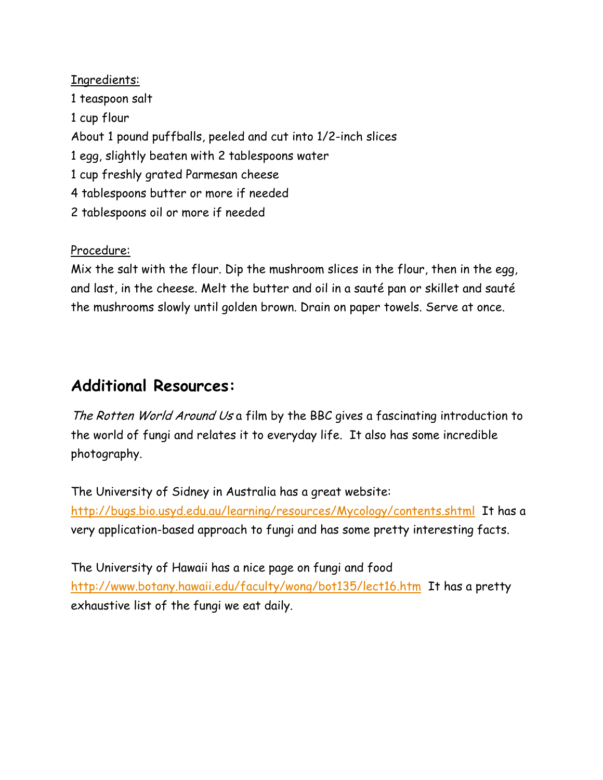Ingredients: 1 teaspoon salt 1 cup flour About 1 pound puffballs, peeled and cut into 1/2-inch slices 1 egg, slightly beaten with 2 tablespoons water 1 cup freshly grated Parmesan cheese 4 tablespoons butter or more if needed 2 tablespoons oil or more if needed

#### Procedure:

Mix the salt with the flour. Dip the mushroom slices in the flour, then in the egg, and last, in the cheese. Melt the butter and oil in a sauté pan or skillet and sauté the mushrooms slowly until golden brown. Drain on paper towels. Serve at once.

## **Additional Resources:**

The Rotten World Around Us a film by the BBC gives a fascinating introduction to the world of fungi and relates it to everyday life. It also has some incredible photography.

The University of Sidney in Australia has a great website: <http://bugs.bio.usyd.edu.au/learning/resources/Mycology/contents.shtml>It has a very application-based approach to fungi and has some pretty interesting facts.

The University of Hawaii has a nice page on fungi and food <http://www.botany.hawaii.edu/faculty/wong/bot135/lect16.htm>It has a pretty exhaustive list of the fungi we eat daily.